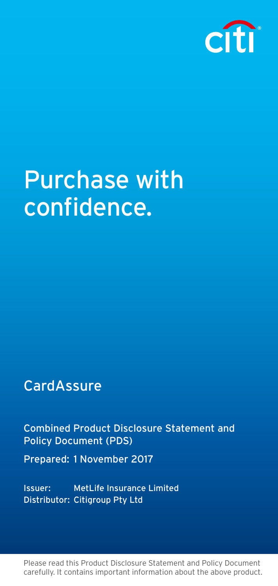

# Purchase with confidence.

### **CardAssure**

Combined Product Disclosure Statement and Policy Document (PDS)

Prepared: 1 November 2017

Issuer: MetLife Insurance Limited Distributor: Citigroup Pty Ltd

Please read this Product Disclosure Statement and Policy Document carefully. It contains important information about the above product.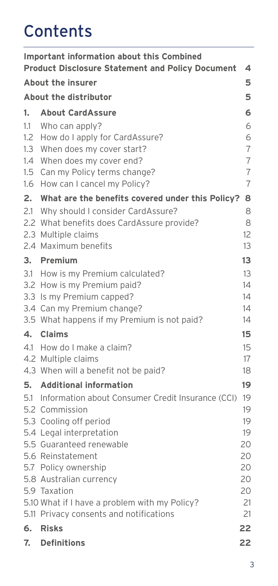### **Contents**

|                  | <b>Important information about this Combined</b><br><b>Product Disclosure Statement and Policy Document</b> | 4        |
|------------------|-------------------------------------------------------------------------------------------------------------|----------|
|                  | About the insurer                                                                                           | 5        |
|                  | About the distributor                                                                                       | 5        |
| 1.               | <b>About CardAssure</b>                                                                                     | 6        |
| 1.1 <sub>1</sub> | Who can apply?                                                                                              | 6        |
| 1.2              | How do I apply for CardAssure?                                                                              | 6        |
| 1.3              | When does my cover start?                                                                                   | 7        |
| 1.4              | When does my cover end?                                                                                     | 7        |
| 1.5              | Can my Policy terms change?                                                                                 | 7        |
| 1.6              | How can I cancel my Policy?                                                                                 | 7        |
| 2.               | What are the benefits covered under this Policy?                                                            | 8        |
| 2.1              | Why should I consider CardAssure?                                                                           | 8        |
|                  | 2.2 What benefits does CardAssure provide?<br>2.3 Multiple claims                                           | 8<br>12  |
|                  | 2.4 Maximum benefits                                                                                        | 13       |
| З.               | Premium                                                                                                     | 13       |
| 3.1              | How is my Premium calculated?                                                                               | 13       |
|                  | 3.2 How is my Premium paid?                                                                                 | 14       |
|                  | 3.3 Is my Premium capped?                                                                                   | 14       |
|                  | 3.4 Can my Premium change?                                                                                  | 14       |
|                  | 3.5 What happens if my Premium is not paid?                                                                 | 14       |
|                  | 4. Claims                                                                                                   | 15       |
|                  | 4.1 How do I make a claim?                                                                                  | 15       |
|                  | 4.2 Multiple claims                                                                                         | 17       |
|                  | 4.3 When will a benefit not be paid?                                                                        | 18       |
|                  | 5. Additional information                                                                                   | 19       |
|                  | 5.1 Information about Consumer Credit Insurance (CCI)                                                       | 19       |
|                  | 5.2 Commission                                                                                              | 19       |
|                  | 5.3 Cooling off period<br>5.4 Legal interpretation                                                          | 19<br>19 |
|                  | 5.5 Guaranteed renewable                                                                                    | 20       |
|                  | 5.6 Reinstatement                                                                                           | 20       |
|                  | 5.7 Policy ownership                                                                                        | 20       |
|                  | 5.8 Australian currency                                                                                     | 20       |
|                  | 5.9 Taxation                                                                                                | 20       |
|                  | 5.10 What if I have a problem with my Policy?                                                               | 21       |
|                  | 5.11 Privacy consents and notifications                                                                     | 21       |
| 6.               | <b>Risks</b>                                                                                                | 22       |
| 7.               | <b>Definitions</b>                                                                                          | 22       |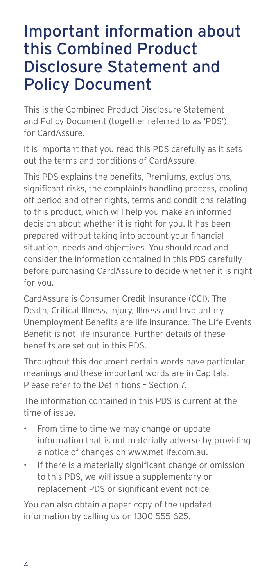### Important information about this Combined Product Disclosure Statement and Policy Document

This is the Combined Product Disclosure Statement and Policy Document (together referred to as 'PDS') for CardAssure.

It is important that you read this PDS carefully as it sets out the terms and conditions of CardAssure.

This PDS explains the benefits, Premiums, exclusions, significant risks, the complaints handling process, cooling off period and other rights, terms and conditions relating to this product, which will help you make an informed decision about whether it is right for you. It has been prepared without taking into account your financial situation, needs and objectives. You should read and consider the information contained in this PDS carefully before purchasing CardAssure to decide whether it is right for you.

CardAssure is Consumer Credit Insurance (CCI). The Death, Critical Illness, Injury, Illness and Involuntary Unemployment Benefits are life insurance. The Life Events Benefit is not life insurance. Further details of these benefits are set out in this PDS.

Throughout this document certain words have particular meanings and these important words are in Capitals. Please refer to the Definitions – Section 7.

The information contained in this PDS is current at the time of issue.

- From time to time we may change or update information that is not materially adverse by providing a notice of changes on www.metlife.com.au.
- If there is a materially significant change or omission to this PDS, we will issue a supplementary or replacement PDS or significant event notice.

You can also obtain a paper copy of the updated information by calling us on 1300 555 625.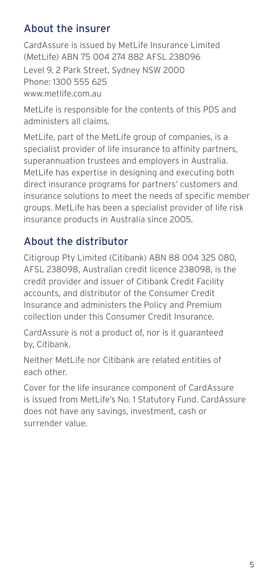### About the insurer

CardAssure is issued by MetLife Insurance Limited (MetLife) ABN 75 004 274 882 AFSL 238096 Level 9, 2 Park Street, Sydney NSW 2000 Phone: 1300 555 625 www.metlife.com.au

MetLife is responsible for the contents of this PDS and administers all claims.

MetLife, part of the MetLife group of companies, is a specialist provider of life insurance to affinity partners, superannuation trustees and employers in Australia. MetLife has expertise in designing and executing both direct insurance programs for partners' customers and insurance solutions to meet the needs of specific member groups. MetLife has been a specialist provider of life risk insurance products in Australia since 2005.

### About the distributor

Citigroup Pty Limited (Citibank) ABN 88 004 325 080, AFSL 238098, Australian credit licence 238098, is the credit provider and issuer of Citibank Credit Facility accounts, and distributor of the Consumer Credit Insurance and administers the Policy and Premium collection under this Consumer Credit Insurance.

CardAssure is not a product of, nor is it guaranteed by, Citibank.

Neither MetLife nor Citibank are related entities of each other.

Cover for the life insurance component of CardAssure is issued from MetLife's No. 1 Statutory Fund. CardAssure does not have any savings, investment, cash or surrender value.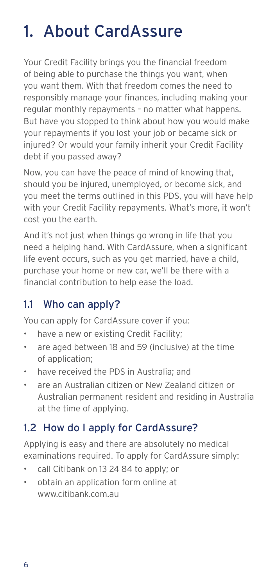### 1. About CardAssure

Your Credit Facility brings you the financial freedom of being able to purchase the things you want, when you want them. With that freedom comes the need to responsibly manage your finances, including making your regular monthly repayments – no matter what happens. But have you stopped to think about how you would make your repayments if you lost your job or became sick or injured? Or would your family inherit your Credit Facility debt if you passed away?

Now, you can have the peace of mind of knowing that, should you be injured, unemployed, or become sick, and you meet the terms outlined in this PDS, you will have help with your Credit Facility repayments. What's more, it won't cost you the earth.

And it's not just when things go wrong in life that you need a helping hand. With CardAssure, when a significant life event occurs, such as you get married, have a child, purchase your home or new car, we'll be there with a financial contribution to help ease the load.

### 1.1 Who can apply?

You can apply for CardAssure cover if you:

- have a new or existing Credit Facility;
- are aged between 18 and 59 (inclusive) at the time of application;
- have received the PDS in Australia; and
- are an Australian citizen or New Zealand citizen or Australian permanent resident and residing in Australia at the time of applying.

### 1.2 How do I apply for CardAssure?

Applying is easy and there are absolutely no medical examinations required. To apply for CardAssure simply:

- call Citibank on 13 24 84 to apply; or
- obtain an application form online at www.citibank.com.au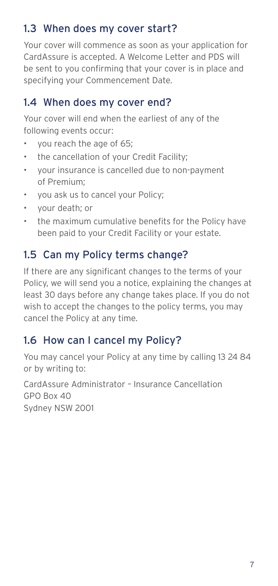### 1.3 When does my cover start?

Your cover will commence as soon as your application for CardAssure is accepted. A Welcome Letter and PDS will be sent to you confirming that your cover is in place and specifying your Commencement Date.

### 1.4 When does my cover end?

Your cover will end when the earliest of any of the following events occur:

- you reach the age of 65;
- the cancellation of your Credit Facility;
- your insurance is cancelled due to non-payment of Premium;
- you ask us to cancel your Policy;
- your death; or
- the maximum cumulative benefits for the Policy have been paid to your Credit Facility or your estate.

### 1.5 Can my Policy terms change?

If there are any significant changes to the terms of your Policy, we will send you a notice, explaining the changes at least 30 days before any change takes place. If you do not wish to accept the changes to the policy terms, you may cancel the Policy at any time.

### 1.6 How can I cancel my Policy?

You may cancel your Policy at any time by calling 13 24 84 or by writing to:

CardAssure Administrator – Insurance Cancellation GPO Box 40 Sydney NSW 2001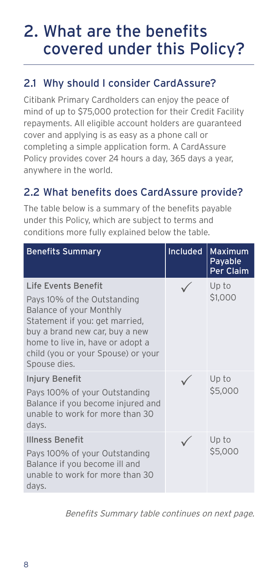### 2. What are the benefits covered under this Policy?

### 2.1 Why should I consider CardAssure?

Citibank Primary Cardholders can enjoy the peace of mind of up to \$75,000 protection for their Credit Facility repayments. All eligible account holders are guaranteed cover and applying is as easy as a phone call or completing a simple application form. A CardAssure Policy provides cover 24 hours a day, 365 days a year, anywhere in the world.

### 2.2 What benefits does CardAssure provide?

The table below is a summary of the benefits payable under this Policy, which are subject to terms and conditions more fully explained below the table.

| <b>Benefits Summary</b>                                                                                                                                                                                                                     | <b>Included</b> | Maximum<br>Payable<br>Per Claim |
|---------------------------------------------------------------------------------------------------------------------------------------------------------------------------------------------------------------------------------------------|-----------------|---------------------------------|
| Life Events Benefit<br>Pays 10% of the Outstanding<br>Balance of your Monthly<br>Statement if you: get married,<br>buy a brand new car, buy a new<br>home to live in, have or adopt a<br>child (you or your Spouse) or your<br>Spouse dies. |                 | Up to<br>\$1,000                |
| Injury Benefit<br>Pays 100% of your Outstanding<br>Balance if you become injured and<br>unable to work for more than 30<br>days.                                                                                                            |                 | Up to<br>\$5,000                |
| <b>Illness Benefit</b><br>Pays 100% of your Outstanding<br>Balance if you become ill and<br>unable to work for more than 30<br>days.                                                                                                        |                 | Up to<br>\$5,000                |

Benefits Summary table continues on next page.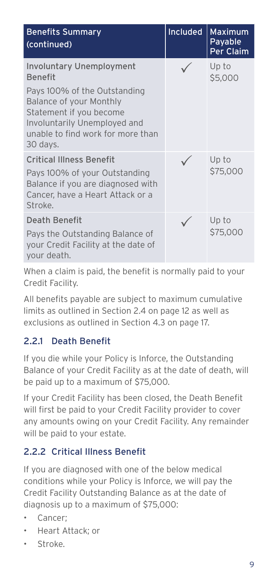| <b>Benefits Summary</b><br>(continued)                                                                                                                                                                                   | Included | Maximum<br>Payable<br>Per Claim |
|--------------------------------------------------------------------------------------------------------------------------------------------------------------------------------------------------------------------------|----------|---------------------------------|
| <b>Involuntary Unemployment</b><br><b>Benefit</b><br>Pays 100% of the Outstanding<br>Balance of your Monthly<br>Statement if you become<br>Involuntarily Unemployed and<br>unable to find work for more than<br>30 days. |          | Up to<br>\$5,000                |
| <b>Critical Illness Benefit</b><br>Pays 100% of your Outstanding<br>Balance if you are diagnosed with<br>Cancer, have a Heart Attack or a<br>Stroke.                                                                     |          | Up to<br>\$75,000               |
| <b>Death Benefit</b><br>Pays the Outstanding Balance of<br>your Credit Facility at the date of<br>your death.                                                                                                            |          | Up to<br>\$75,000               |

When a claim is paid, the benefit is normally paid to your Credit Facility.

All benefits payable are subject to maximum cumulative limits as outlined in Section 2.4 on page 12 as well as exclusions as outlined in Section 4.3 on page 17.

### 2.2.1 Death Benefit

If you die while your Policy is Inforce, the Outstanding Balance of your Credit Facility as at the date of death, will be paid up to a maximum of \$75,000.

If your Credit Facility has been closed, the Death Benefit will first be paid to your Credit Facility provider to cover any amounts owing on your Credit Facility. Any remainder will be paid to your estate.

### 2.2.2 Critical Illness Benefit

If you are diagnosed with one of the below medical conditions while your Policy is Inforce, we will pay the Credit Facility Outstanding Balance as at the date of diagnosis up to a maximum of \$75,000:

- Cancer:
- Heart Attack; or
- Stroke.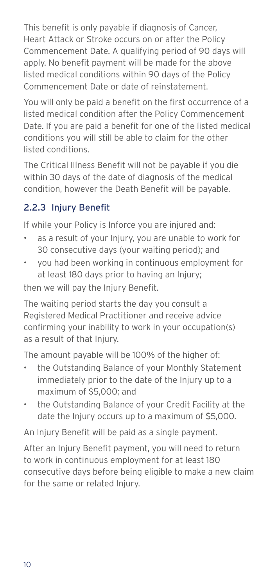This benefit is only payable if diagnosis of Cancer, Heart Attack or Stroke occurs on or after the Policy Commencement Date. A qualifying period of 90 days will apply. No benefit payment will be made for the above listed medical conditions within 90 days of the Policy Commencement Date or date of reinstatement.

You will only be paid a benefit on the first occurrence of a listed medical condition after the Policy Commencement Date. If you are paid a benefit for one of the listed medical conditions you will still be able to claim for the other listed conditions.

The Critical Illness Benefit will not be payable if you die within 30 days of the date of diagnosis of the medical condition, however the Death Benefit will be payable.

### 2.2.3 Injury Benefit

If while your Policy is Inforce you are injured and:

- as a result of your Injury, you are unable to work for 30 consecutive days (your waiting period); and
- you had been working in continuous employment for at least 180 days prior to having an Injury;

then we will pay the Injury Benefit.

The waiting period starts the day you consult a Registered Medical Practitioner and receive advice confirming your inability to work in your occupation(s) as a result of that Injury.

The amount payable will be 100% of the higher of:

- the Outstanding Balance of your Monthly Statement immediately prior to the date of the Injury up to a maximum of \$5,000; and
- the Outstanding Balance of your Credit Facility at the date the Injury occurs up to a maximum of \$5,000.

An Injury Benefit will be paid as a single payment.

After an Injury Benefit payment, you will need to return to work in continuous employment for at least 180 consecutive days before being eligible to make a new claim for the same or related Injury.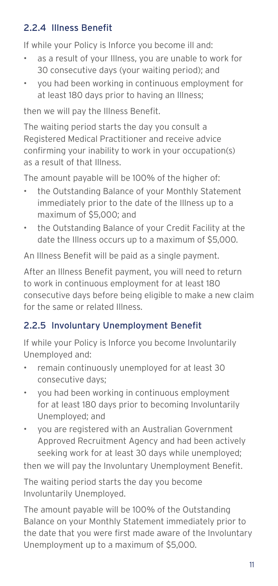### 2.2.4 Illness Benefit

If while your Policy is Inforce you become ill and:

- as a result of your Illness, you are unable to work for 30 consecutive days (your waiting period); and
- you had been working in continuous employment for at least 180 days prior to having an Illness;

then we will pay the Illness Benefit.

The waiting period starts the day you consult a Registered Medical Practitioner and receive advice confirming your inability to work in your occupation(s) as a result of that Illness.

The amount payable will be 100% of the higher of:

- the Outstanding Balance of your Monthly Statement immediately prior to the date of the Illness up to a maximum of \$5,000; and
- the Outstanding Balance of your Credit Facility at the date the Illness occurs up to a maximum of \$5,000.

An Illness Benefit will be paid as a single payment.

After an Illness Benefit payment, you will need to return to work in continuous employment for at least 180 consecutive days before being eligible to make a new claim for the same or related Illness.

### 2.2.5 Involuntary Unemployment Benefit

If while your Policy is Inforce you become Involuntarily Unemployed and:

- remain continuously unemployed for at least 30 consecutive days;
- you had been working in continuous employment for at least 180 days prior to becoming Involuntarily Unemployed; and
- you are registered with an Australian Government Approved Recruitment Agency and had been actively seeking work for at least 30 days while unemployed;

then we will pay the Involuntary Unemployment Benefit.

The waiting period starts the day you become Involuntarily Unemployed.

The amount payable will be 100% of the Outstanding Balance on your Monthly Statement immediately prior to the date that you were first made aware of the Involuntary Unemployment up to a maximum of \$5,000.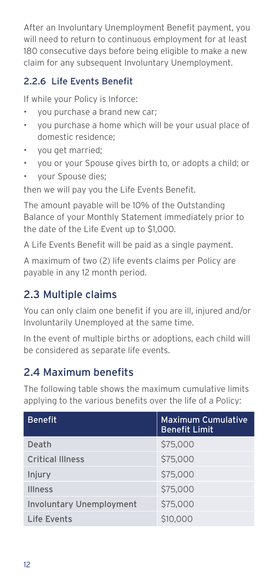After an Involuntary Unemployment Benefit payment, you will need to return to continuous employment for at least 180 consecutive days before being eligible to make a new claim for any subsequent Involuntary Unemployment.

### 2.2.6 Life Events Benefit

If while your Policy is Inforce:

- you purchase a brand new car;
- you purchase a home which will be your usual place of domestic residence;
- you get married;
- you or your Spouse gives birth to, or adopts a child; or
- your Spouse dies;

then we will pay you the Life Events Benefit.

The amount payable will be 10% of the Outstanding Balance of your Monthly Statement immediately prior to the date of the Life Event up to \$1,000.

A Life Events Benefit will be paid as a single payment.

A maximum of two (2) life events claims per Policy are payable in any 12 month period.

### 2.3 Multiple claims

You can only claim one benefit if you are ill, injured and/or Involuntarily Unemployed at the same time.

In the event of multiple births or adoptions, each child will be considered as separate life events.

### 2.4 Maximum benefits

The following table shows the maximum cumulative limits applying to the various benefits over the life of a Policy:

| <b>Benefit</b>           | <b>Maximum Cumulative</b><br><b>Benefit Limit</b> |
|--------------------------|---------------------------------------------------|
| Death                    | \$75,000                                          |
| <b>Critical Illness</b>  | \$75,000                                          |
| Injury                   | \$75,000                                          |
| <b>Illness</b>           | \$75,000                                          |
| Involuntary Unemployment | \$75,000                                          |
| Life Events              | \$10,000                                          |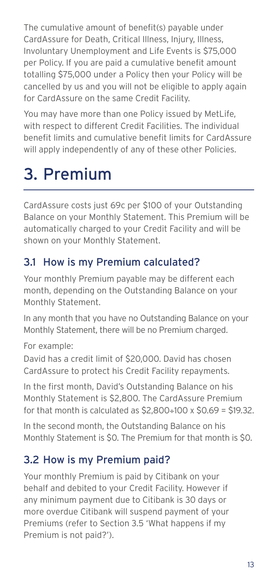The cumulative amount of benefit(s) payable under CardAssure for Death, Critical Illness, Injury, Illness, Involuntary Unemployment and Life Events is \$75,000 per Policy. If you are paid a cumulative benefit amount totalling \$75,000 under a Policy then your Policy will be cancelled by us and you will not be eligible to apply again for CardAssure on the same Credit Facility.

You may have more than one Policy issued by MetLife, with respect to different Credit Facilities. The individual benefit limits and cumulative benefit limits for CardAssure will apply independently of any of these other Policies.

## 3. Premium

CardAssure costs just 69c per \$100 of your Outstanding Balance on your Monthly Statement. This Premium will be automatically charged to your Credit Facility and will be shown on your Monthly Statement.

### 3.1 How is my Premium calculated?

Your monthly Premium payable may be different each month, depending on the Outstanding Balance on your Monthly Statement.

In any month that you have no Outstanding Balance on your Monthly Statement, there will be no Premium charged.

For example:

David has a credit limit of \$20,000. David has chosen CardAssure to protect his Credit Facility repayments.

In the first month, David's Outstanding Balance on his Monthly Statement is \$2,800. The CardAssure Premium for that month is calculated as \$2,800÷100 x \$0.69 = \$19.32.

In the second month, the Outstanding Balance on his Monthly Statement is \$0. The Premium for that month is \$0.

### 3.2 How is my Premium paid?

Your monthly Premium is paid by Citibank on your behalf and debited to your Credit Facility. However if any minimum payment due to Citibank is 30 days or more overdue Citibank will suspend payment of your Premiums (refer to Section 3.5 'What happens if my Premium is not paid?').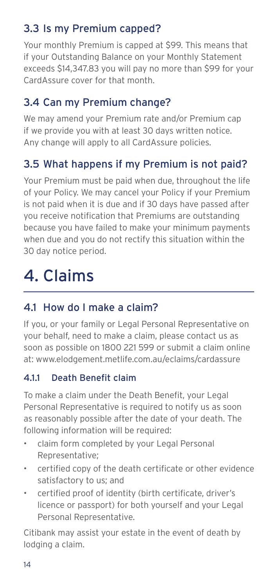### 3.3 Is my Premium capped?

Your monthly Premium is capped at \$99. This means that if your Outstanding Balance on your Monthly Statement exceeds \$14,347.83 you will pay no more than \$99 for your CardAssure cover for that month.

### 3.4 Can my Premium change?

We may amend your Premium rate and/or Premium cap if we provide you with at least 30 days written notice. Any change will apply to all CardAssure policies.

### 3.5 What happens if my Premium is not paid?

Your Premium must be paid when due, throughout the life of your Policy. We may cancel your Policy if your Premium is not paid when it is due and if 30 days have passed after you receive notification that Premiums are outstanding because you have failed to make your minimum payments when due and you do not rectify this situation within the 30 day notice period.

### 4. Claims

### 4.1 How do I make a claim?

If you, or your family or Legal Personal Representative on your behalf, need to make a claim, please contact us as soon as possible on 1800 221 599 or submit a claim online at: www.elodgement.metlife.com.au/eclaims/cardassure

### 4.1.1 Death Benefit claim

To make a claim under the Death Benefit, your Legal Personal Representative is required to notify us as soon as reasonably possible after the date of your death. The following information will be required:

- claim form completed by your Legal Personal Representative;
- certified copy of the death certificate or other evidence satisfactory to us; and
- certified proof of identity (birth certificate, driver's licence or passport) for both yourself and your Legal Personal Representative.

Citibank may assist your estate in the event of death by lodging a claim.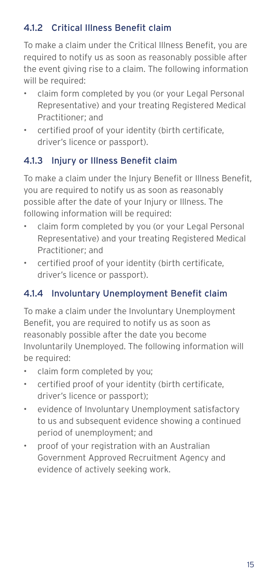### 4.1.2 Critical Illness Benefit claim

To make a claim under the Critical Illness Benefit, you are required to notify us as soon as reasonably possible after the event giving rise to a claim. The following information will be required:

- claim form completed by you (or your Legal Personal Representative) and your treating Registered Medical Practitioner; and
- certified proof of your identity (birth certificate, driver's licence or passport).

#### 4.1.3 Injury or Illness Benefit claim

To make a claim under the Injury Benefit or Illness Benefit, you are required to notify us as soon as reasonably possible after the date of your Injury or Illness. The following information will be required:

- claim form completed by you (or your Legal Personal Representative) and your treating Registered Medical Practitioner; and
- certified proof of your identity (birth certificate, driver's licence or passport).

#### 4.1.4 Involuntary Unemployment Benefit claim

To make a claim under the Involuntary Unemployment Benefit, you are required to notify us as soon as reasonably possible after the date you become Involuntarily Unemployed. The following information will be required:

- claim form completed by you;
- certified proof of your identity (birth certificate, driver's licence or passport);
- evidence of Involuntary Unemployment satisfactory to us and subsequent evidence showing a continued period of unemployment; and
- proof of your registration with an Australian Government Approved Recruitment Agency and evidence of actively seeking work.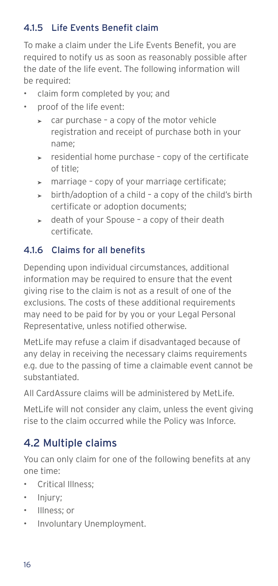### 4.1.5 Life Events Benefit claim

To make a claim under the Life Events Benefit, you are required to notify us as soon as reasonably possible after the date of the life event. The following information will be required:

- claim form completed by you; and
- proof of the life event:
	- ➤ car purchase a copy of the motor vehicle registration and receipt of purchase both in your name;
	- ➤ residential home purchase copy of the certificate of title;
	- ➤ marriage copy of your marriage certificate;
	- ➤ birth/adoption of a child a copy of the child's birth certificate or adoption documents;
	- ➤ death of your Spouse a copy of their death certificate.

#### 4.1.6 Claims for all benefits

Depending upon individual circumstances, additional information may be required to ensure that the event giving rise to the claim is not as a result of one of the exclusions. The costs of these additional requirements may need to be paid for by you or your Legal Personal Representative, unless notified otherwise.

MetLife may refuse a claim if disadvantaged because of any delay in receiving the necessary claims requirements e.g. due to the passing of time a claimable event cannot be substantiated.

All CardAssure claims will be administered by MetLife.

MetLife will not consider any claim, unless the event giving rise to the claim occurred while the Policy was Inforce.

### 4.2 Multiple claims

You can only claim for one of the following benefits at any one time:

- Critical Illness;
- Injury;
- Illness; or
- Involuntary Unemployment.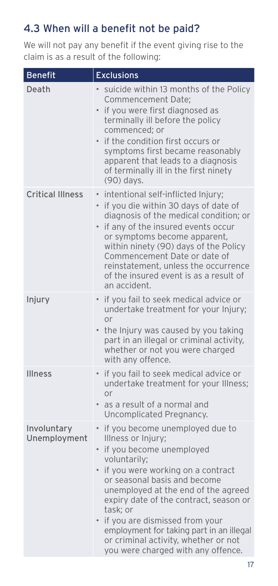### 4.3 When will a benefit not be paid?

We will not pay any benefit if the event giving rise to the claim is as a result of the following:

| <b>Benefit</b>              | <b>Exclusions</b>                                                                                                                                                                                                                                                                                                                                                                                                                   |
|-----------------------------|-------------------------------------------------------------------------------------------------------------------------------------------------------------------------------------------------------------------------------------------------------------------------------------------------------------------------------------------------------------------------------------------------------------------------------------|
| Death                       | suicide within 13 months of the Policy<br>Commencement Date;<br>if you were first diagnosed as<br>$\bullet$<br>terminally ill before the policy<br>commenced; or<br>if the condition first occurs or<br>$\bullet$<br>symptoms first became reasonably<br>apparent that leads to a diagnosis<br>of terminally ill in the first ninety<br>(90) days.                                                                                  |
| <b>Critical Illness</b>     | intentional self-inflicted Injury;<br>$\bullet$<br>if you die within 30 days of date of<br>diagnosis of the medical condition; or<br>if any of the insured events occur<br>or symptoms become apparent,<br>within ninety (90) days of the Policy<br>Commencement Date or date of<br>reinstatement, unless the occurrence<br>of the insured event is as a result of<br>an accident.                                                  |
| Injury                      | if you fail to seek medical advice or<br>undertake treatment for your Injury;<br>or<br>the Injury was caused by you taking<br>part in an illegal or criminal activity,<br>whether or not you were charged<br>with any offence.                                                                                                                                                                                                      |
| <b>Illness</b>              | if you fail to seek medical advice or<br>undertake treatment for your Illness;<br>or<br>as a result of a normal and<br>Uncomplicated Pregnancy.                                                                                                                                                                                                                                                                                     |
| Involuntary<br>Unemployment | if you become unemployed due to<br>Illness or Injury;<br>if you become unemployed<br>voluntarily;<br>• if you were working on a contract<br>or seasonal basis and become<br>unemployed at the end of the agreed<br>expiry date of the contract, season or<br>task; or<br>• if you are dismissed from your<br>employment for taking part in an illegal<br>or criminal activity, whether or not<br>you were charged with any offence. |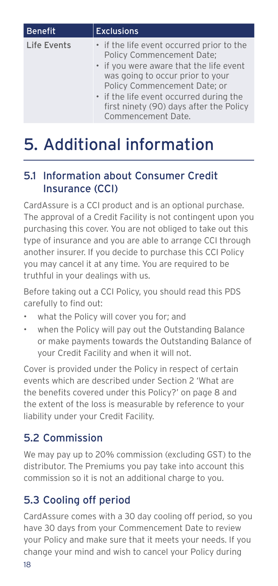| <b>Benefit</b> | <b>Exclusions</b>                                                                                                                                                                                                                                                                                 |
|----------------|---------------------------------------------------------------------------------------------------------------------------------------------------------------------------------------------------------------------------------------------------------------------------------------------------|
| Life Events    | • if the life event occurred prior to the<br>Policy Commencement Date;<br>• if you were aware that the life event<br>was going to occur prior to your<br>Policy Commencement Date; or<br>• if the life event occurred during the<br>first ninety (90) days after the Policy<br>Commencement Date. |

### 5. Additional information

### 5.1 Information about Consumer Credit Insurance (CCI)

CardAssure is a CCI product and is an optional purchase. The approval of a Credit Facility is not contingent upon you purchasing this cover. You are not obliged to take out this type of insurance and you are able to arrange CCI through another insurer. If you decide to purchase this CCI Policy you may cancel it at any time. You are required to be truthful in your dealings with us.

Before taking out a CCI Policy, you should read this PDS carefully to find out:

- what the Policy will cover you for; and
- when the Policy will pay out the Outstanding Balance or make payments towards the Outstanding Balance of your Credit Facility and when it will not.

Cover is provided under the Policy in respect of certain events which are described under Section 2 'What are the benefits covered under this Policy?' on page 8 and the extent of the loss is measurable by reference to your liability under your Credit Facility.

### 5.2 Commission

We may pay up to 20% commission (excluding GST) to the distributor. The Premiums you pay take into account this commission so it is not an additional charge to you.

### 5.3 Cooling off period

CardAssure comes with a 30 day cooling off period, so you have 30 days from your Commencement Date to review your Policy and make sure that it meets your needs. If you change your mind and wish to cancel your Policy during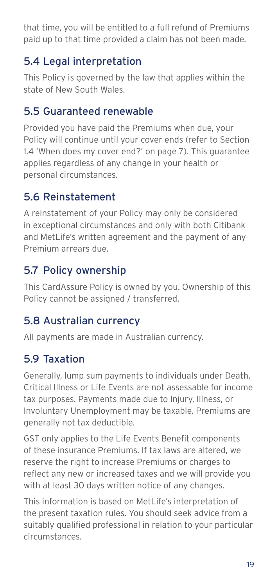that time, you will be entitled to a full refund of Premiums paid up to that time provided a claim has not been made.

### 5.4 Legal interpretation

This Policy is governed by the law that applies within the state of New South Wales.

### 5.5 Guaranteed renewable

Provided you have paid the Premiums when due, your Policy will continue until your cover ends (refer to Section 1.4 'When does my cover end?' on page 7). This guarantee applies regardless of any change in your health or personal circumstances.

### 5.6 Reinstatement

A reinstatement of your Policy may only be considered in exceptional circumstances and only with both Citibank and MetLife's written agreement and the payment of any Premium arrears due.

### 5.7 Policy ownership

This CardAssure Policy is owned by you. Ownership of this Policy cannot be assigned / transferred.

### 5.8 Australian currency

All payments are made in Australian currency.

### 5.9 Taxation

Generally, lump sum payments to individuals under Death, Critical Illness or Life Events are not assessable for income tax purposes. Payments made due to Injury, Illness, or Involuntary Unemployment may be taxable. Premiums are generally not tax deductible.

GST only applies to the Life Events Benefit components of these insurance Premiums. If tax laws are altered, we reserve the right to increase Premiums or charges to reflect any new or increased taxes and we will provide you with at least 30 days written notice of any changes.

This information is based on MetLife's interpretation of the present taxation rules. You should seek advice from a suitably qualified professional in relation to your particular circumstances.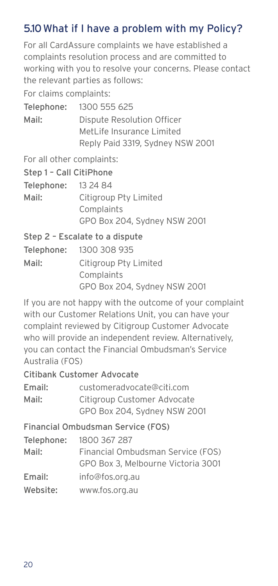### 5.10What if I have a problem with my Policy?

For all CardAssure complaints we have established a complaints resolution process and are committed to working with you to resolve your concerns. Please contact the relevant parties as follows:

For claims complaints:

|       | Telephone: 1300 555 625          |
|-------|----------------------------------|
| Mail: | Dispute Resolution Officer       |
|       | MetLife Insurance Limited        |
|       | Reply Paid 3319, Sydney NSW 2001 |

For all other complaints:

| Step 1 - Call CitiPhone |                              |
|-------------------------|------------------------------|
| Telephone: 13 24 84     |                              |
| Mail:                   | Citigroup Pty Limited        |
|                         | Complaints                   |
|                         | GPO Box 204, Sydney NSW 2001 |
|                         |                              |

Step 2 – Escalate to a dispute

|       | Telephone: 1300 308 935      |
|-------|------------------------------|
| Mail: | Citigroup Pty Limited        |
|       | Complaints                   |
|       | GPO Box 204, Sydney NSW 2001 |

If you are not happy with the outcome of your complaint with our Customer Relations Unit, you can have your complaint reviewed by Citigroup Customer Advocate who will provide an independent review. Alternatively, you can contact the Financial Ombudsman's Service Australia (FOS)

#### Citibank Customer Advocate

| Email: | customeradvocate@citi.com    |  |
|--------|------------------------------|--|
| Mail:  | Citigroup Customer Advocate  |  |
|        | GPO Box 204, Sydney NSW 2001 |  |

Financial Ombudsman Service (FOS)

|          | Telephone: 1800 367 287            |
|----------|------------------------------------|
| Mail:    | Financial Ombudsman Service (FOS)  |
|          | GPO Box 3. Melbourne Victoria 3001 |
| Email:   | info@fos.org.au                    |
| Website: | www.fos.org.au                     |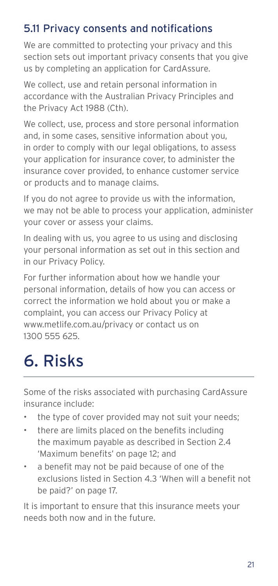### 5.11 Privacy consents and notifications

We are committed to protecting your privacy and this section sets out important privacy consents that you give us by completing an application for CardAssure.

We collect, use and retain personal information in accordance with the Australian Privacy Principles and the Privacy Act 1988 (Cth).

We collect, use, process and store personal information and, in some cases, sensitive information about you, in order to comply with our legal obligations, to assess your application for insurance cover, to administer the insurance cover provided, to enhance customer service or products and to manage claims.

If you do not agree to provide us with the information, we may not be able to process your application, administer your cover or assess your claims.

In dealing with us, you agree to us using and disclosing your personal information as set out in this section and in our Privacy Policy.

For further information about how we handle your personal information, details of how you can access or correct the information we hold about you or make a complaint, you can access our Privacy Policy at www.metlife.com.au/privacy or contact us on 1300 555 625.

## 6. Risks

Some of the risks associated with purchasing CardAssure insurance include:

- the type of cover provided may not suit your needs;
- there are limits placed on the benefits including the maximum payable as described in Section 2.4 'Maximum benefits' on page 12; and
- a benefit may not be paid because of one of the exclusions listed in Section 4.3 'When will a benefit not be paid?' on page 17.

It is important to ensure that this insurance meets your needs both now and in the future.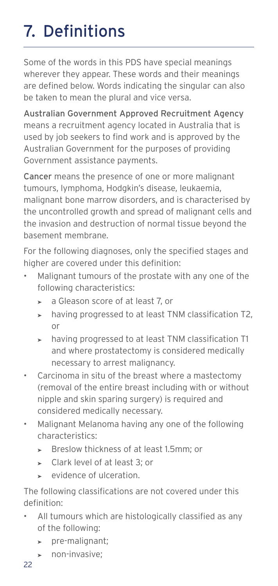## 7. Definitions

Some of the words in this PDS have special meanings wherever they appear. These words and their meanings are defined below. Words indicating the singular can also be taken to mean the plural and vice versa.

Australian Government Approved Recruitment Agency means a recruitment agency located in Australia that is used by job seekers to find work and is approved by the Australian Government for the purposes of providing Government assistance payments.

Cancer means the presence of one or more malignant tumours, lymphoma, Hodgkin's disease, leukaemia, malignant bone marrow disorders, and is characterised by the uncontrolled growth and spread of malignant cells and the invasion and destruction of normal tissue beyond the basement membrane.

For the following diagnoses, only the specified stages and higher are covered under this definition:

- Malignant tumours of the prostate with any one of the following characteristics:
	- ➤ a Gleason score of at least 7, or
	- ➤ having progressed to at least TNM classification T2, or
	- ➤ having progressed to at least TNM classification T1 and where prostatectomy is considered medically necessary to arrest malignancy.
- Carcinoma in situ of the breast where a mastectomy (removal of the entire breast including with or without nipple and skin sparing surgery) is required and considered medically necessary.
- Malignant Melanoma having any one of the following characteristics:
	- ➤ Breslow thickness of at least 1.5mm; or
	- ➤ Clark level of at least 3; or
	- ➤ evidence of ulceration.

The following classifications are not covered under this definition:

- All tumours which are histologically classified as any of the following:
	- ➤ pre-malignant;
	- ➤ non-invasive;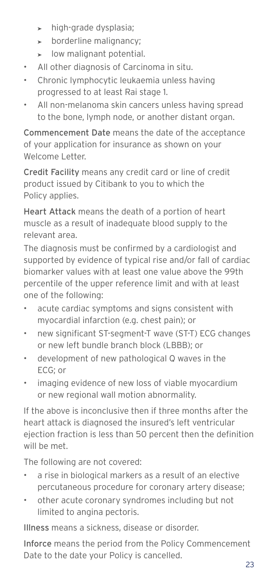- ➤ high-grade dysplasia;
- ➤ borderline malignancy;
- low malignant potential.
- All other diagnosis of Carcinoma in situ.
- Chronic lymphocytic leukaemia unless having progressed to at least Rai stage 1.
- All non-melanoma skin cancers unless having spread to the bone, lymph node, or another distant organ.

Commencement Date means the date of the acceptance of your application for insurance as shown on your Welcome Letter

Credit Facility means any credit card or line of credit product issued by Citibank to you to which the Policy applies.

Heart Attack means the death of a portion of heart muscle as a result of inadequate blood supply to the relevant area.

The diagnosis must be confirmed by a cardiologist and supported by evidence of typical rise and/or fall of cardiac biomarker values with at least one value above the 99th percentile of the upper reference limit and with at least one of the following:

- acute cardiac symptoms and signs consistent with myocardial infarction (e.g. chest pain); or
- new significant ST-segment-T wave (ST-T) ECG changes or new left bundle branch block (LBBB); or
- development of new pathological Q waves in the ECG; or
- imaging evidence of new loss of viable myocardium or new regional wall motion abnormality.

If the above is inconclusive then if three months after the heart attack is diagnosed the insured's left ventricular ejection fraction is less than 50 percent then the definition will be met.

The following are not covered:

- a rise in biological markers as a result of an elective percutaneous procedure for coronary artery disease;
- other acute coronary syndromes including but not limited to angina pectoris.

Illness means a sickness, disease or disorder.

Inforce means the period from the Policy Commencement Date to the date your Policy is cancelled.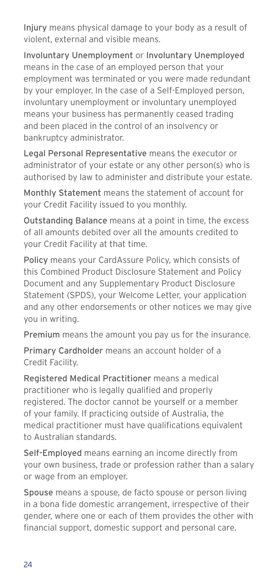Injury means physical damage to your body as a result of violent, external and visible means.

Involuntary Unemployment or Involuntary Unemployed means in the case of an employed person that your employment was terminated or you were made redundant by your employer. In the case of a Self-Employed person, involuntary unemployment or involuntary unemployed means your business has permanently ceased trading and been placed in the control of an insolvency or bankruptcy administrator.

Legal Personal Representative means the executor or administrator of your estate or any other person(s) who is authorised by law to administer and distribute your estate.

Monthly Statement means the statement of account for your Credit Facility issued to you monthly.

Outstanding Balance means at a point in time, the excess of all amounts debited over all the amounts credited to your Credit Facility at that time.

Policy means your CardAssure Policy, which consists of this Combined Product Disclosure Statement and Policy Document and any Supplementary Product Disclosure Statement (SPDS), your Welcome Letter, your application and any other endorsements or other notices we may give you in writing.

Premium means the amount you pay us for the insurance.

Primary Cardholder means an account holder of a Credit Facility.

Registered Medical Practitioner means a medical practitioner who is legally qualified and properly registered. The doctor cannot be yourself or a member of your family. If practicing outside of Australia, the medical practitioner must have qualifications equivalent to Australian standards.

Self-Employed means earning an income directly from your own business, trade or profession rather than a salary or wage from an employer.

Spouse means a spouse, de facto spouse or person living in a bona fide domestic arrangement, irrespective of their gender, where one or each of them provides the other with financial support, domestic support and personal care.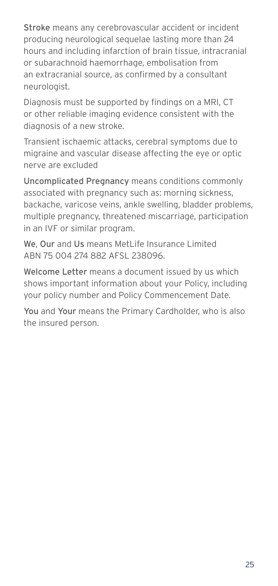Stroke means any cerebrovascular accident or incident producing neurological sequelae lasting more than 24 hours and including infarction of brain tissue, intracranial or subarachnoid haemorrhage, embolisation from an extracranial source, as confirmed by a consultant neurologist.

Diagnosis must be supported by findings on a MRI, CT or other reliable imaging evidence consistent with the diagnosis of a new stroke.

Transient ischaemic attacks, cerebral symptoms due to migraine and vascular disease affecting the eye or optic nerve are excluded

Uncomplicated Pregnancy means conditions commonly associated with pregnancy such as: morning sickness, backache, varicose veins, ankle swelling, bladder problems, multiple pregnancy, threatened miscarriage, participation in an IVF or similar program.

We, Our and Us means MetLife Insurance Limited ABN 75 004 274 882 AFSL 238096.

Welcome Letter means a document issued by us which shows important information about your Policy, including your policy number and Policy Commencement Date.

You and Your means the Primary Cardholder, who is also the insured person.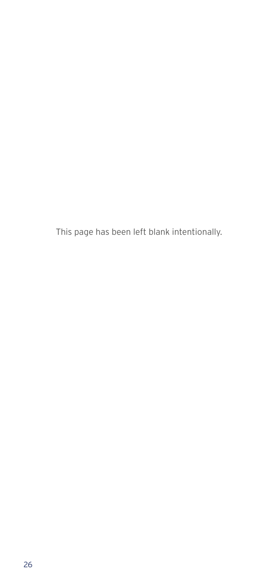This page has been left blank intentionally.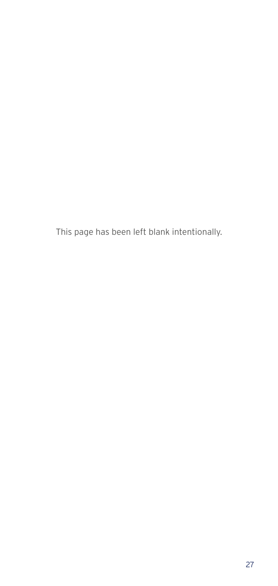This page has been left blank intentionally.